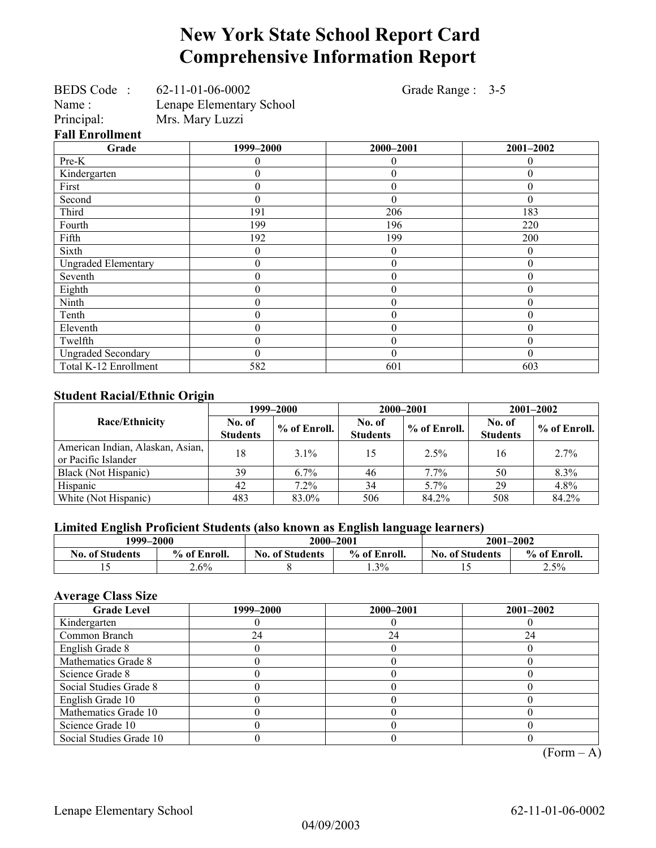# **New York State School Report Card Comprehensive Information Report**

|                            | BEDS Code: 62-11-01-06-0002     | Grade Range : 3-5 |                  |
|----------------------------|---------------------------------|-------------------|------------------|
| Name:                      | <b>Lenape Elementary School</b> |                   |                  |
| Principal:                 | Mrs. Mary Luzzi                 |                   |                  |
| <b>Fall Enrollment</b>     |                                 |                   |                  |
| Grade                      | 1999-2000                       | 2000-2001         | 2001-2002        |
| Pre-K                      | 0                               | $\theta$          | 0                |
| Kindergarten               | $\theta$                        | $\theta$          | 0                |
| First                      | $\boldsymbol{0}$                | $\overline{0}$    | $\boldsymbol{0}$ |
| Second                     | $\theta$                        | $\theta$          | $\theta$         |
| Third                      | 191                             | 206               | 183              |
| Fourth                     | 199                             | 196               | 220              |
| Fifth                      | 192                             | 199               | 200              |
| Sixth                      | $\boldsymbol{0}$                | $\theta$          | $\boldsymbol{0}$ |
| <b>Ungraded Elementary</b> | $\boldsymbol{0}$                | $\theta$          | $\boldsymbol{0}$ |
| Seventh                    | $\boldsymbol{0}$                | $\theta$          | 0                |
| Eighth                     | $\boldsymbol{0}$                | $\theta$          | $\boldsymbol{0}$ |
| Ninth                      | $\boldsymbol{0}$                | $\theta$          | $\boldsymbol{0}$ |
| Tenth                      | $\boldsymbol{0}$                | $\theta$          | 0                |
| Eleventh                   | $\overline{0}$                  | $\overline{0}$    | 0                |
| Twelfth                    | $\overline{0}$                  | $\overline{0}$    | $\boldsymbol{0}$ |
| <b>Ungraded Secondary</b>  | $\theta$                        | $\theta$          | $\boldsymbol{0}$ |
| Total K-12 Enrollment      | 582                             | 601               | 603              |

### **Student Racial/Ethnic Origin**

|                                                         |                           | 1999–2000      | 2000-2001                 |              | $2001 - 2002$             |                |
|---------------------------------------------------------|---------------------------|----------------|---------------------------|--------------|---------------------------|----------------|
| Race/Ethnicity                                          | No. of<br><b>Students</b> | $%$ of Enroll. | No. of<br><b>Students</b> | % of Enroll. | No. of<br><b>Students</b> | $%$ of Enroll. |
| American Indian, Alaskan, Asian,<br>or Pacific Islander | 18                        | $3.1\%$        | 15                        | 2.5%         | 16                        | 2.7%           |
| Black (Not Hispanic)                                    | 39                        | $6.7\%$        | 46                        | 7.7%         | 50                        | 8.3%           |
| Hispanic                                                | 42                        | $7.2\%$        | 34                        | 5.7%         | 29                        | 4.8%           |
| White (Not Hispanic)                                    | 483                       | 83.0%          | 506                       | 84.2%        | 508                       | 84.2%          |

## **Limited English Proficient Students (also known as English language learners)**

| 1999–2000              |              | 2000-2001              |              | $2001 - 2002$          |              |
|------------------------|--------------|------------------------|--------------|------------------------|--------------|
| <b>No. of Students</b> | % of Enroll. | <b>No. of Students</b> | % of Enroll. | <b>No. of Students</b> | % of Enroll. |
|                        | $2.6\%$      |                        | 1.3%         |                        | 2.5%         |

## **Average Class Size**

| <b>Grade Level</b>      | 1999–2000 | 2000-2001 | $2001 - 2002$ |
|-------------------------|-----------|-----------|---------------|
| Kindergarten            |           |           |               |
| Common Branch           | 24        | 24        | 24            |
| English Grade 8         |           |           |               |
| Mathematics Grade 8     |           |           |               |
| Science Grade 8         |           |           |               |
| Social Studies Grade 8  |           |           |               |
| English Grade 10        |           |           |               |
| Mathematics Grade 10    |           |           |               |
| Science Grade 10        |           |           |               |
| Social Studies Grade 10 |           |           |               |

 $(Form - A)$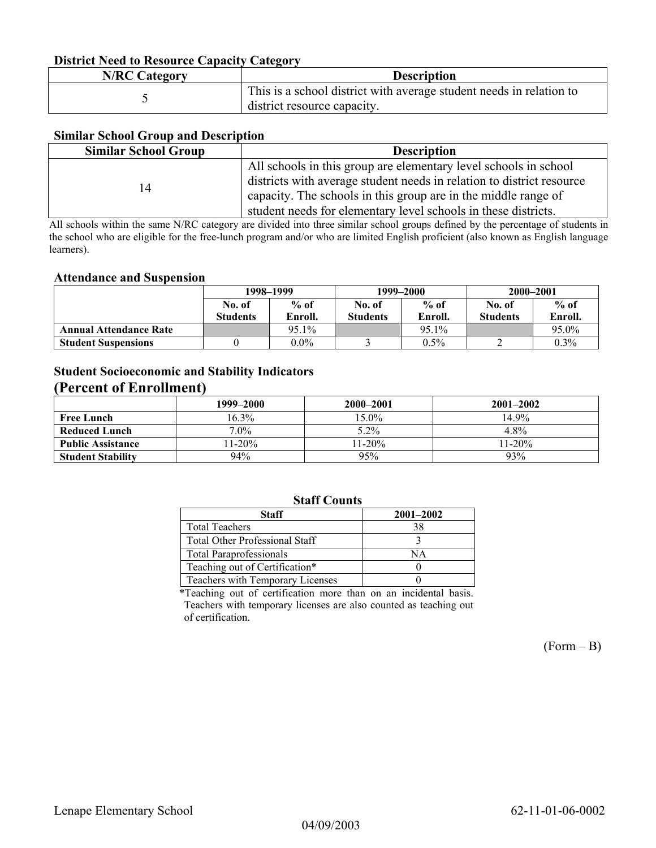#### **District Need to Resource Capacity Category**

| <b>N/RC Category</b> | <b>Description</b>                                                                                 |
|----------------------|----------------------------------------------------------------------------------------------------|
|                      | This is a school district with average student needs in relation to<br>district resource capacity. |

#### **Similar School Group and Description**

| <b>Similar School Group</b> | <b>Description</b>                                                    |
|-----------------------------|-----------------------------------------------------------------------|
|                             | All schools in this group are elementary level schools in school      |
| 14                          | districts with average student needs in relation to district resource |
|                             | capacity. The schools in this group are in the middle range of        |
|                             | student needs for elementary level schools in these districts.        |

All schools within the same N/RC category are divided into three similar school groups defined by the percentage of students in the school who are eligible for the free-lunch program and/or who are limited English proficient (also known as English language learners).

#### **Attendance and Suspension**

|                               | 1998–1999       |         |                 | 1999–2000 | 2000-2001       |         |
|-------------------------------|-----------------|---------|-----------------|-----------|-----------------|---------|
|                               | No. of          | $%$ of  | No. of          | $%$ of    | No. of          | $%$ of  |
|                               | <b>Students</b> | Enroll. | <b>Students</b> | Enroll.   | <b>Students</b> | Enroll. |
| <b>Annual Attendance Rate</b> |                 | 95.1%   |                 | 95.1%     |                 | 95.0%   |
| <b>Student Suspensions</b>    |                 | $0.0\%$ |                 | $0.5\%$   |                 | $0.3\%$ |

## **Student Socioeconomic and Stability Indicators (Percent of Enrollment)**

|                          | 1999-2000 | 2000–2001 | $2001 - 2002$ |
|--------------------------|-----------|-----------|---------------|
| <b>Free Lunch</b>        | 16.3%     | $15.0\%$  | 14.9%         |
| Reduced Lunch            | $7.0\%$   | 5.2%      | 4.8%          |
| <b>Public Assistance</b> | $11-20%$  | $11-20%$  | $11-20%$      |
| <b>Student Stability</b> | 94%       | 95%       | 93%           |

### **Staff Counts**

| Staff                                 | $2001 - 2002$ |
|---------------------------------------|---------------|
| <b>Total Teachers</b>                 | 38            |
| <b>Total Other Professional Staff</b> |               |
| <b>Total Paraprofessionals</b>        | NA            |
| Teaching out of Certification*        |               |
| Teachers with Temporary Licenses      |               |

\*Teaching out of certification more than on an incidental basis. Teachers with temporary licenses are also counted as teaching out of certification.

 $(Form - B)$